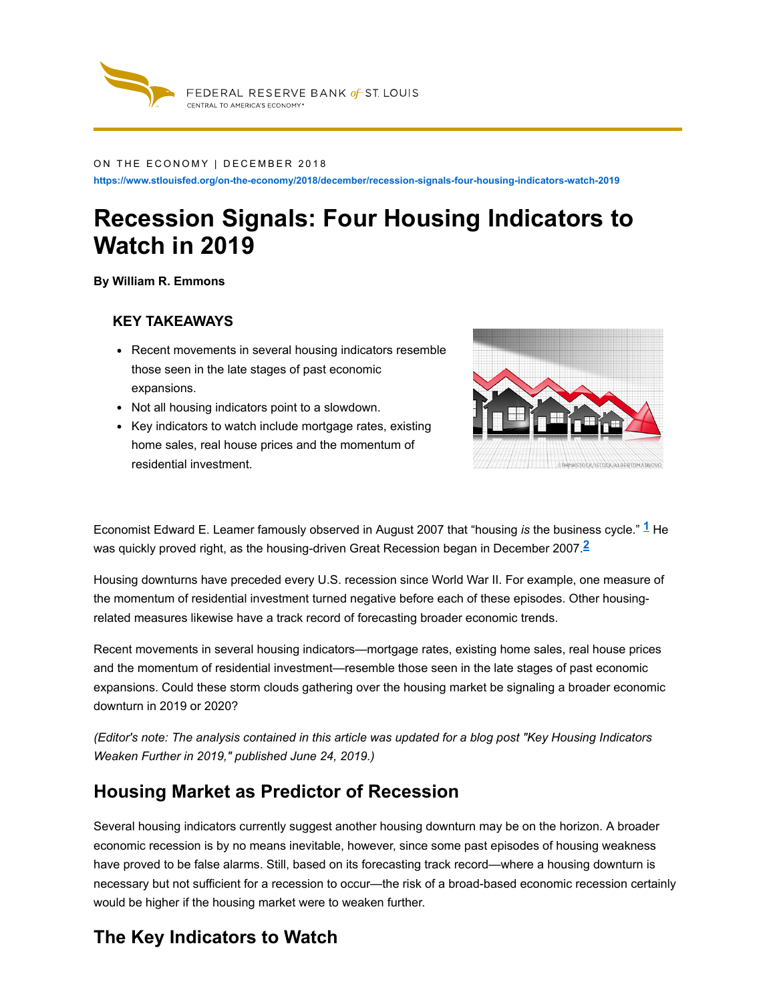

#### ON THE ECONOMY | DECEMBER 2018

**https://www.stlouisfed.org/on-the-economy/2018/december/recession-signals-four-housing-indicators-watch-2019**

# **Recession Signals: Four Housing Indicators to Watch in 2019**

**By William R. Emmons**

#### **KEY TAKEAWAYS**

- Recent movements in several housing indicators resemble those seen in the late stages of past economic expansions.
- Not all housing indicators point to a slowdown.
- Key indicators to watch include mortgage rates, existing home sales, real house prices and the momentum of residential investment.



Economist Edward E. Leamer famously observed in August 2007 that "housing *is* the business cycle." He **1** was quickly proved right, as the housing-driven Great Recession began in December 2007. **2**

Housing downturns have preceded every U.S. recession since World War II. For example, one measure of the momentum of residential investment turned negative before each of these episodes. Other housingrelated measures likewise have a track record of forecasting broader economic trends.

Recent movements in several housing indicators—mortgage rates, existing home sales, real house prices and the momentum of residential investment—resemble those seen in the late stages of past economic expansions. Could these storm clouds gathering over the housing market be signaling a broader economic downturn in 2019 or 2020?

(Editor's note: The analysis [contained](https://www.stlouisfed.org/on-the-economy/2019/june/housing-indicators-weaken-2019) in this article was updated for a blog post "Key Housing Indicators *Weaken Further in 2019," published June 24, 2019.)*

## **Housing Market as Predictor of Recession**

Several housing indicators currently suggest another housing downturn may be on the horizon. A broader economic recession is by no means inevitable, however, since some past episodes of housing weakness have proved to be false alarms. Still, based on its forecasting track record—where a housing downturn is necessary but not sufficient for a recession to occur—the risk of a broad-based economic recession certainly would be higher if the housing market were to weaken further.

## **The Key Indicators to Watch**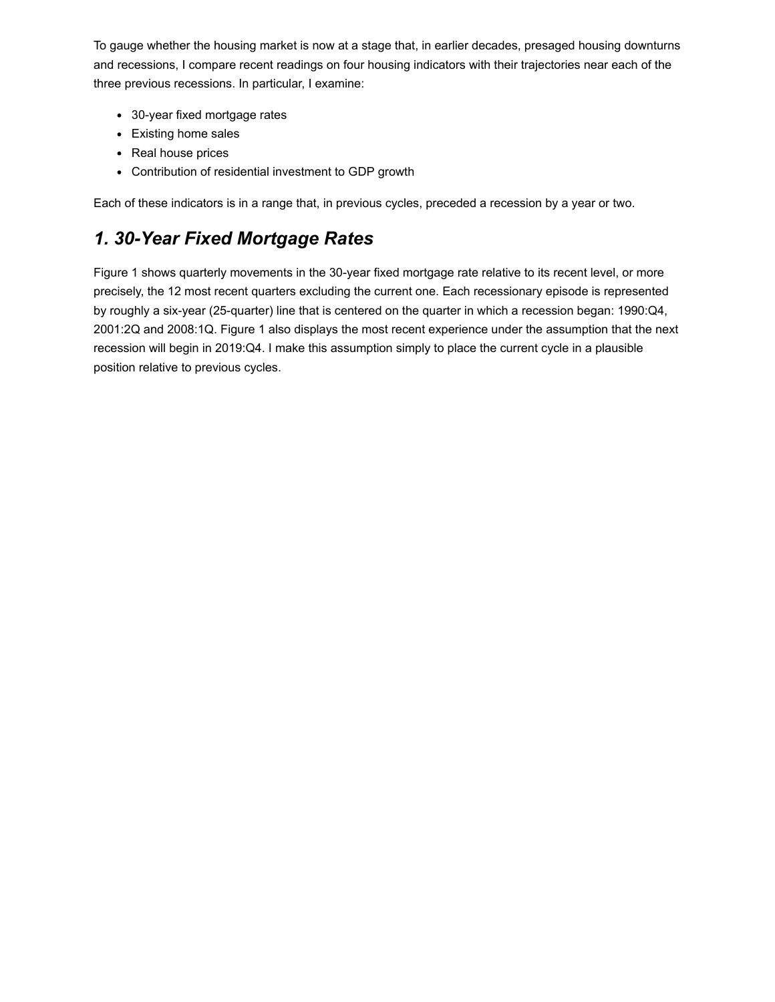To gauge whether the housing market is now at a stage that, in earlier decades, presaged housing downturns and recessions, I compare recent readings on four housing indicators with their trajectories near each of the three previous recessions. In particular, I examine:

- 30-year fixed mortgage rates
- Existing home sales
- Real house prices
- Contribution of residential investment to GDP growth

Each of these indicators is in a range that, in previous cycles, preceded a recession by a year or two.

## *1. 30-Year Fixed Mortgage Rates*

Figure 1 shows quarterly movements in the 30-year fixed mortgage rate relative to its recent level, or more precisely, the 12 most recent quarters excluding the current one. Each recessionary episode is represented by roughly a six-year (25-quarter) line that is centered on the quarter in which a recession began: 1990:Q4, 2001:2Q and 2008:1Q. Figure 1 also displays the most recent experience under the assumption that the next recession will begin in 2019:Q4. I make this assumption simply to place the current cycle in a plausible position relative to previous cycles.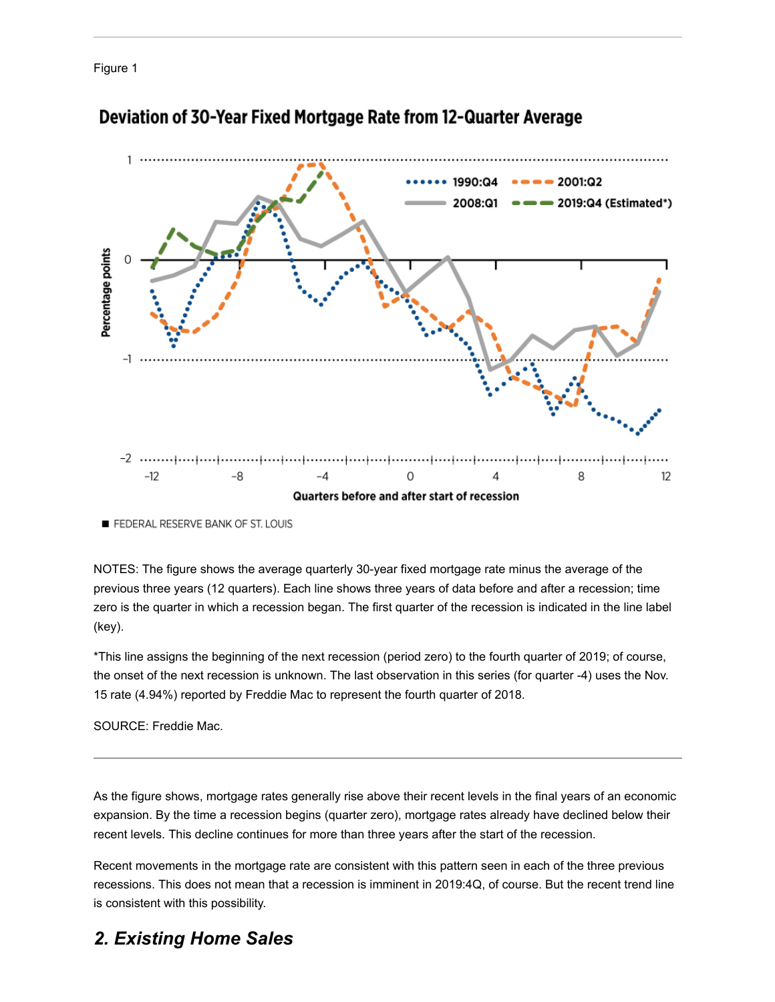<span id="page-2-0"></span>Figure 1



### Deviation of 30-Year Fixed Mortgage Rate from 12-Quarter Average

FEDERAL RESERVE BANK OF ST. LOUIS

NOTES: The figure shows the average quarterly 30-year fixed mortgage rate minus the average of the previous three years (12 quarters). Each line shows three years of data before and after a recession; time zero is the quarter in which a recession began. The first quarter of the recession is indicated in the line label (key).

\*This line assigns the beginning of the next recession (period zero) to the fourth quarter of 2019; of course, the onset of the next recession is unknown. The last observation in this series (for quarter -4) uses the Nov. 15 rate (4.94%) reported by Freddie Mac to represent the fourth quarter of 2018.

SOURCE: Freddie Mac.

As the [figure](#page-2-0) shows, mortgage rates generally rise above their recent levels in the final years of an economic expansion. By the time a recession begins (quarter zero), mortgage rates already have declined below their recent levels. This decline continues for more than three years after the start of the recession.

Recent movements in the mortgage rate are consistent with this pattern seen in each of the three previous recessions. This does not mean that a recession is imminent in 2019:4Q, of course. But the recent trend line is consistent with this possibility.

## *2. Existing Home Sales*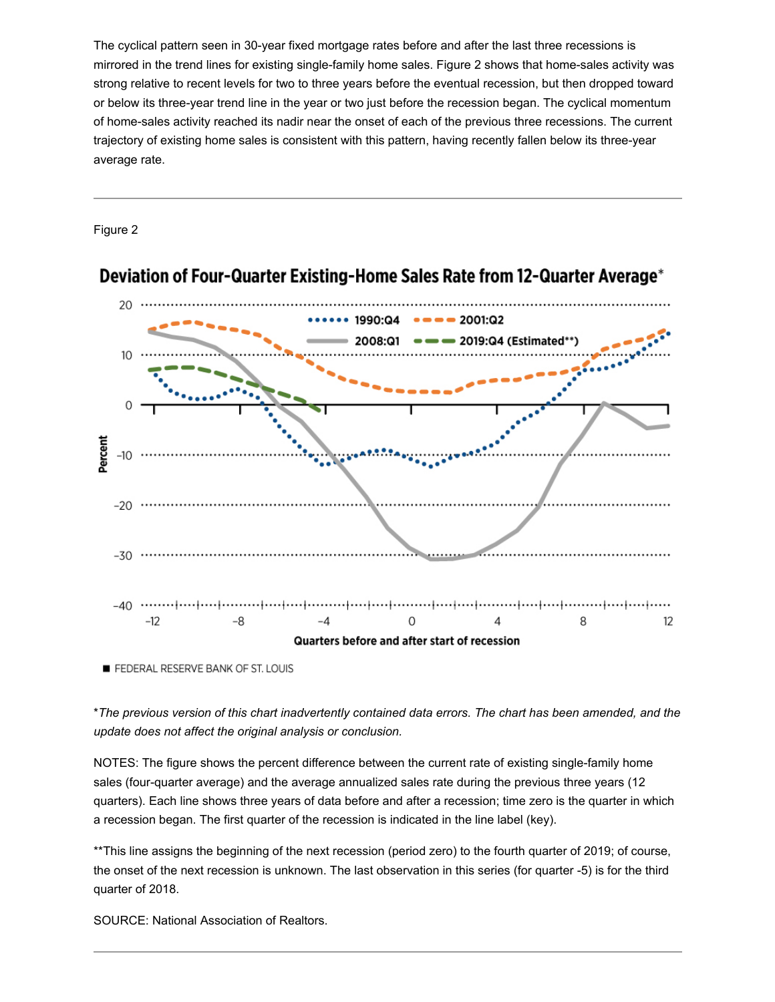The cyclical pattern seen in 30-year fixed mortgage rates before and after the last three recessions is mirrored in the trend lines for existing single-family home sales. Figure 2 shows that home-sales activity was strong relative to recent levels for two to three years before the eventual recession, but then dropped toward or below its three-year trend line in the year or two just before the recession began. The cyclical momentum of home-sales activity reached its nadir near the onset of each of the previous three recessions. The current trajectory of existing home sales is consistent with this pattern, having recently fallen below its three-year average rate.

Figure 2

![](_page_3_Figure_2.jpeg)

## Deviation of Four-Quarter Existing-Home Sales Rate from 12-Quarter Average\*

FEDERAL RESERVE BANK OF ST. LOUIS

\*The previous version of this chart inadvertently contained data errors. The chart has been amended, and the *update does not affect the original analysis or conclusion.*

NOTES: The figure shows the percent difference between the current rate of existing single-family home sales (four-quarter average) and the average annualized sales rate during the previous three years (12 quarters). Each line shows three years of data before and after a recession; time zero is the quarter in which a recession began. The first quarter of the recession is indicated in the line label (key).

\*\*This line assigns the beginning of the next recession (period zero) to the fourth quarter of 2019; of course, the onset of the next recession is unknown. The last observation in this series (for quarter -5) is for the third quarter of 2018.

SOURCE: National Association of Realtors.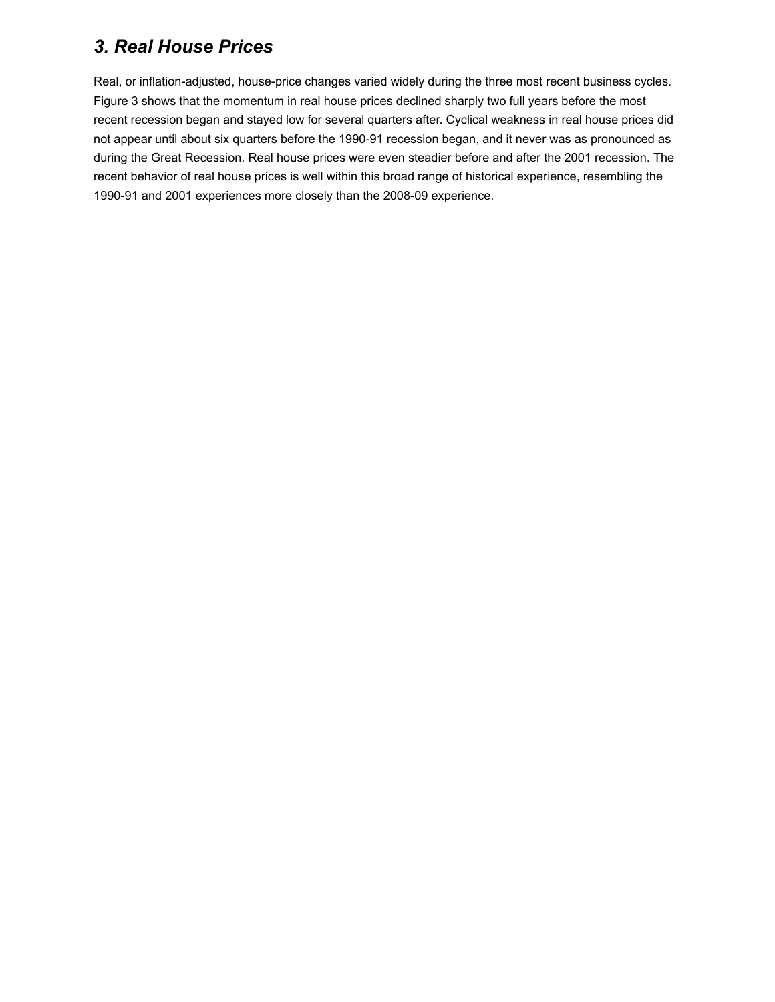## *3. Real House Prices*

Real, or inflation-adjusted, house-price changes varied widely during the three most recent business cycles. Figure 3 shows that the momentum in real house prices declined sharply two full years before the most recent recession began and stayed low for several quarters after. Cyclical weakness in real house prices did not appear until about six quarters before the 1990-91 recession began, and it never was as pronounced as during the Great Recession. Real house prices were even steadier before and after the 2001 recession. The recent behavior of real house prices is well within this broad range of historical experience, resembling the 1990-91 and 2001 experiences more closely than the 2008-09 experience.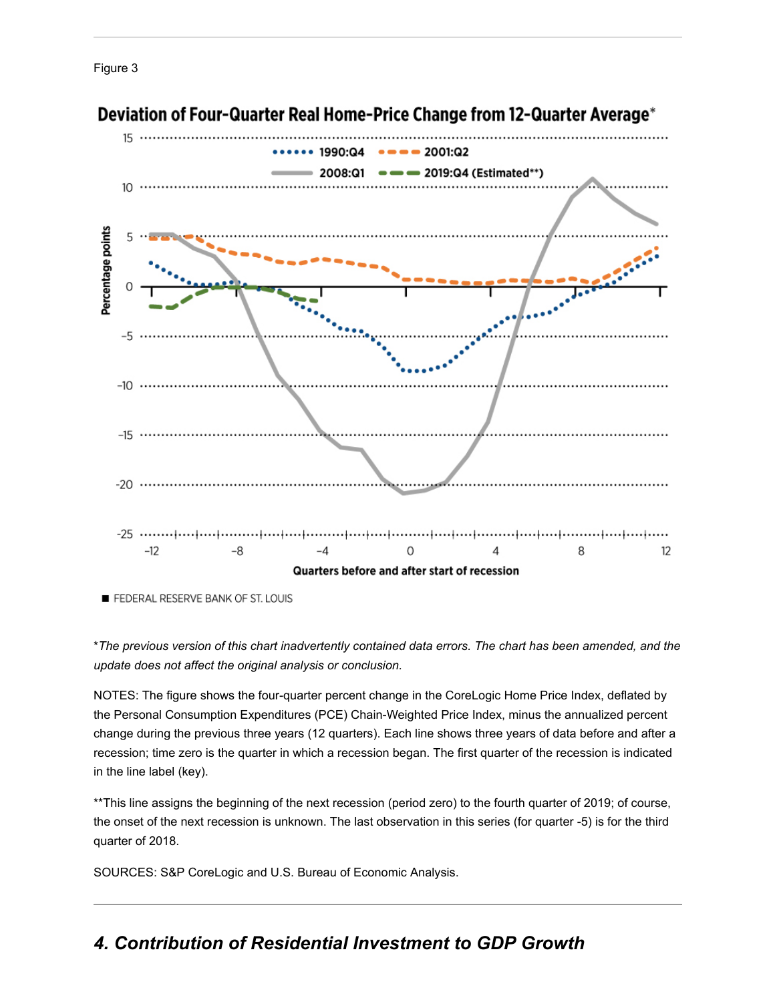![](_page_5_Figure_0.jpeg)

![](_page_5_Figure_1.jpeg)

## Deviation of Four-Quarter Real Home-Price Change from 12-Quarter Average\*

FEDERAL RESERVE BANK OF ST. LOUIS

\*The previous version of this chart inadvertently contained data errors. The chart has been amended, and the *update does not affect the original analysis or conclusion.*

NOTES: The figure shows the four-quarter percent change in the CoreLogic Home Price Index, deflated by the Personal Consumption Expenditures (PCE) Chain-Weighted Price Index, minus the annualized percent change during the previous three years (12 quarters). Each line shows three years of data before and after a recession; time zero is the quarter in which a recession began. The first quarter of the recession is indicated in the line label (key).

\*\*This line assigns the beginning of the next recession (period zero) to the fourth quarter of 2019; of course, the onset of the next recession is unknown. The last observation in this series (for quarter -5) is for the third quarter of 2018.

SOURCES: S&P CoreLogic and U.S. Bureau of Economic Analysis.

## *4. Contribution of Residential Investment to GDP Growth*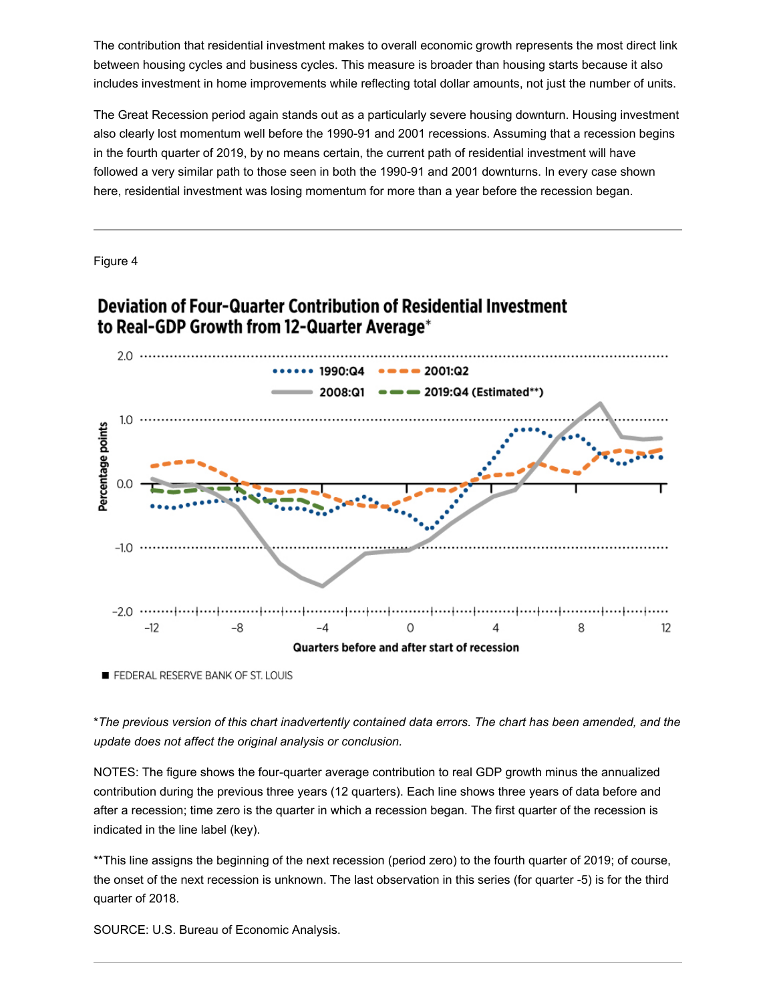The contribution that residential investment makes to overall economic growth represents the most direct link between housing cycles and business cycles. This measure is broader than housing starts because it also includes investment in home improvements while reflecting total dollar amounts, not just the number of units.

The Great Recession period again stands out as a particularly severe housing downturn. Housing investment also clearly lost momentum well before the 1990-91 and 2001 recessions. Assuming that a recession begins in the fourth quarter of 2019, by no means certain, the current path of residential investment will have followed a very similar path to those seen in both the 1990-91 and 2001 downturns. In every case shown here, residential investment was losing momentum for more than a year before the recession began.

Figure 4

![](_page_6_Figure_3.jpeg)

## **Deviation of Four-Quarter Contribution of Residential Investment** to Real-GDP Growth from 12-Quarter Average\*

FEDERAL RESERVE BANK OF ST. LOUIS

\*The previous version of this chart inadvertently contained data errors. The chart has been amended, and the *update does not affect the original analysis or conclusion.*

NOTES: The figure shows the four-quarter average contribution to real GDP growth minus the annualized contribution during the previous three years (12 quarters). Each line shows three years of data before and after a recession; time zero is the quarter in which a recession began. The first quarter of the recession is indicated in the line label (key).

\*\*This line assigns the beginning of the next recession (period zero) to the fourth quarter of 2019; of course, the onset of the next recession is unknown. The last observation in this series (for quarter -5) is for the third quarter of 2018.

SOURCE: U.S. Bureau of Economic Analysis.